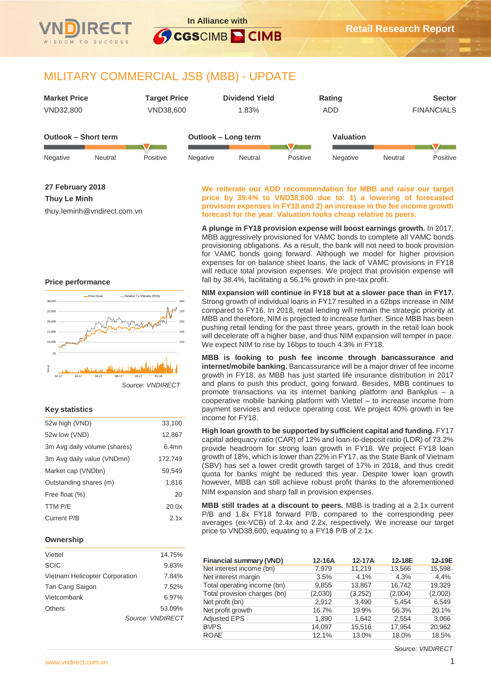

# MILITARY COMMERCIAL JSB (MBB) - UPDATE

| <b>Market Price</b>  | <b>Target Price</b> | <b>Dividend Yield</b> | Rating           | <b>Sector</b>     |
|----------------------|---------------------|-----------------------|------------------|-------------------|
| VND32,800            | VND38,600           | 1.83%                 | ADD              | <b>FINANCIALS</b> |
|                      |                     |                       |                  |                   |
| Outlook - Short term |                     | Outlook – Long term   | <b>Valuation</b> |                   |
|                      |                     |                       |                  |                   |

Negative Neutral Positive Negative Neutral Positive Negative Neutral Positive

## **27 February 2018**

**Thuy Le Minh**

thuy.leminh@vndirect.com.vn

#### **We reiterate our ADD recommendation for MBB and raise our target price by 39.4% to VND38,600 due to: 1) a lowering of forecasted provision expenses in FY18 and 2) an increase in the fee income growth forecast for the year. Valuation looks cheap relative to peers.**

**A plunge in FY18 provision expense will boost earnings growth.** In 2017, MBB aggressively provisioned for VAMC bonds to complete all VAMC bonds provisioning obligations. As a result, the bank will not need to book provision for VAMC bonds going forward. Although we model for higher provision expenses for on balance sheet loans, the lack of VAMC provisions in FY18 will reduce total provision expenses. We project that provision expense will fall by 38.4%, facilitating a 56.1% growth in pre-tax profit.

**NIM expansion will continue in FY18 but at a slower pace than in FY17.**  Strong growth of individual loans in FY17 resulted in a 62bps increase in NIM compared to FY16. In 2018, retail lending will remain the strategic priority at MBB and therefore, NIM is projected to increase further. Since MBB has been pushing retail lending for the past three years, growth in the retail loan book will decelerate off a higher base, and thus NIM expansion will temper in pace. We expect NIM to rise by 16bps to touch 4.3% in FY18.

**MBB is looking to push fee income through bancassurance and internet/mobile banking.** Bancassurance will be a major driver of fee income growth in FY18, as MBB has just started life insurance distribution in 2017 and plans to push this product, going forward. Besides, MBB continues to promote transactions via its internet banking platform and Bankplus – a cooperative mobile banking platform with Viettel – to increase income from payment services and reduce operating cost. We project 40% growth in fee income for FY18.

**High loan growth to be supported by sufficient capital and funding.** FY17 capital adequacy ratio (CAR) of 12% and loan-to-deposit ratio (LDR) of 73.2% provide headroom for strong loan growth in FY18. We project FY18 loan growth of 18%, which is lower than 22% in FY17, as the State Bank of Vietnam (SBV) has set a lower credit growth target of 17% in 2018, and thus credit quota for banks might be reduced this year. Despite lower loan growth however, MBB can still achieve robust profit thanks to the aforementioned NIM expansion and sharp fall in provision expenses.

**MBB still trades at a discount to peers.** MBB is trading at a 2.1x current P/B and 1.8x FY18 forward P/B, compared to the corresponding peer averages (ex-VCB) of 2.4x and 2.2x, respectively. We increase our target price to VND38,600, equating to a FY18 P/B of 2.1x.

| <b>Financial summary (VND)</b> | 12-16A  | 12-17A  | 12-18E  | 12-19E  |
|--------------------------------|---------|---------|---------|---------|
| Net interest income (bn)       | 7.979   | 11.219  | 13,566  | 15,598  |
| Net interest margin            | 3.5%    | 4.1%    | 4.3%    | 4.4%    |
| Total operating income (bn)    | 9,855   | 13,867  | 16.742  | 19.329  |
| Total provision charges (bn)   | (2,030) | (3,252) | (2,004) | (2,002) |
| Net profit (bn)                | 2.912   | 3,490   | 5.454   | 6,549   |
| Net profit growth              | 16.7%   | 19.9%   | 56.3%   | 20.1%   |
| <b>Adjusted EPS</b>            | 1.390   | 1.642   | 2.554   | 3,066   |
| <b>BVPS</b>                    | 14.097  | 15,516  | 17.954  | 20,962  |
| <b>ROAE</b>                    | 12.1%   | 13.0%   | 18.0%   | 18.5%   |

#### *Source: VNDIRECT*

### **Price performance**



## **Key statistics**

| 52w high (VND)               | 33,100   |
|------------------------------|----------|
| 52w low (VND)                | 12,867   |
| 3m Avg daily volume (shares) | $6.4$ mn |
| 3m Avg daily value (VNDmn)   | 172,749  |
| Market cap (VNDbn)           | 59.549   |
| Outstanding shares (m)       | 1,816    |
| Free float (%)               | 20       |
| TTM P/E                      | 20.0x    |
| Current P/B                  | 2.1x     |
|                              |          |

## **Ownership**

| Viettel                        | 14.75%           |  |
|--------------------------------|------------------|--|
| <b>SCIC</b>                    | 9.83%            |  |
| Vietnam Helicopter Corporation | 7.84%            |  |
| Tan Cang Saigon                | 7.52%            |  |
| Vietcombank                    | 6.97%            |  |
| <b>Others</b>                  | 53.09%           |  |
|                                | Source: VNDIRECT |  |
|                                |                  |  |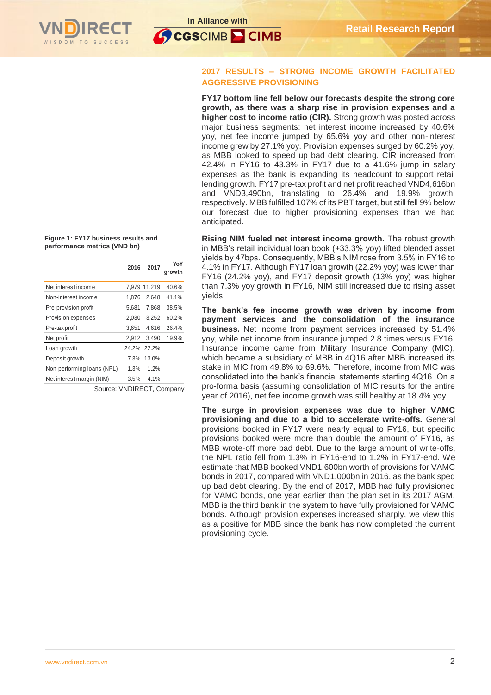



## **2017 RESULTS – STRONG INCOME GROWTH FACILITATED AGGRESSIVE PROVISIONING**

**FY17 bottom line fell below our forecasts despite the strong core growth, as there was a sharp rise in provision expenses and a higher cost to income ratio (CIR).** Strong growth was posted across major business segments: net interest income increased by 40.6% yoy, net fee income jumped by 65.6% yoy and other non-interest income grew by 27.1% yoy. Provision expenses surged by 60.2% yoy, as MBB looked to speed up bad debt clearing. CIR increased from 42.4% in FY16 to 43.3% in FY17 due to a 41.6% jump in salary expenses as the bank is expanding its headcount to support retail lending growth. FY17 pre-tax profit and net profit reached VND4,616bn and VND3,490bn, translating to 26.4% and 19.9% growth, respectively. MBB fulfilled 107% of its PBT target, but still fell 9% below our forecast due to higher provisioning expenses than we had anticipated.

**Rising NIM fueled net interest income growth.** The robust growth in MBB's retail individual loan book (+33.3% yoy) lifted blended asset yields by 47bps. Consequently, MBB's NIM rose from 3.5% in FY16 to 4.1% in FY17. Although FY17 loan growth (22.2% yoy) was lower than FY16 (24.2% yoy), and FY17 deposit growth (13% yoy) was higher than 7.3% yoy growth in FY16, NIM still increased due to rising asset yields.

**The bank's fee income growth was driven by income from payment services and the consolidation of the insurance business.** Net income from payment services increased by 51.4% yoy, while net income from insurance jumped 2.8 times versus FY16. Insurance income came from Military Insurance Company (MIC), which became a subsidiary of MBB in 4Q16 after MBB increased its stake in MIC from 49.8% to 69.6%. Therefore, income from MIC was consolidated into the bank's financial statements starting 4Q16. On a pro-forma basis (assuming consolidation of MIC results for the entire year of 2016), net fee income growth was still healthy at 18.4% yoy.

**The surge in provision expenses was due to higher VAMC provisioning and due to a bid to accelerate write-offs.** General provisions booked in FY17 were nearly equal to FY16, but specific provisions booked were more than double the amount of FY16, as MBB wrote-off more bad debt. Due to the large amount of write-offs, the NPL ratio fell from 1.3% in FY16-end to 1.2% in FY17-end. We estimate that MBB booked VND1,600bn worth of provisions for VAMC bonds in 2017, compared with VND1,000bn in 2016, as the bank sped up bad debt clearing. By the end of 2017, MBB had fully provisioned for VAMC bonds, one year earlier than the plan set in its 2017 AGM. MBB is the third bank in the system to have fully provisioned for VAMC bonds. Although provision expenses increased sharply, we view this as a positive for MBB since the bank has now completed the current provisioning cycle.

**Figure 1: FY17 business results and performance metrics (VND bn)**

| 2016     | 2017     | YoY<br>growth               |
|----------|----------|-----------------------------|
|          |          | 40.6%                       |
| 1.876    | 2.648    | 41.1%                       |
| 5,681    | 7.868    | 38.5%                       |
| $-2.030$ | $-3,252$ | 60.2%                       |
| 3.651    | 4.616    | 26.4%                       |
| 2,912    | 3.490    | 19.9%                       |
|          |          |                             |
| 7.3%     | 13.0%    |                             |
| 1.3%     | 1.2%     |                             |
| $3.5\%$  | 4.1%     |                             |
|          |          | 7,979 11,219<br>24.2% 22.2% |

Source: VNDIRECT, Company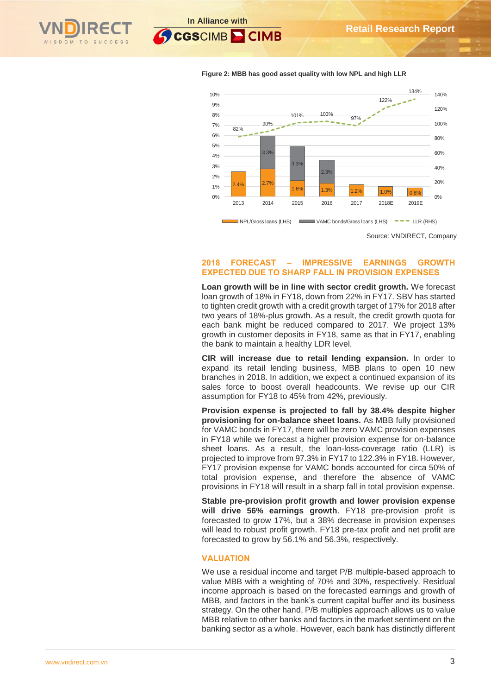**In Alliance with**



**SCGSCIMB CIMB** 



**Figure 2: MBB has good asset quality with low NPL and high LLR**

Source: VNDIRECT, Company

## **2018 FORECAST – IMPRESSIVE EARNINGS GROWTH EXPECTED DUE TO SHARP FALL IN PROVISION EXPENSES**

**Loan growth will be in line with sector credit growth.** We forecast loan growth of 18% in FY18, down from 22% in FY17. SBV has started to tighten credit growth with a credit growth target of 17% for 2018 after two years of 18%-plus growth. As a result, the credit growth quota for each bank might be reduced compared to 2017. We project 13% growth in customer deposits in FY18, same as that in FY17, enabling the bank to maintain a healthy LDR level.

**CIR will increase due to retail lending expansion.** In order to expand its retail lending business, MBB plans to open 10 new branches in 2018. In addition, we expect a continued expansion of its sales force to boost overall headcounts. We revise up our CIR assumption for FY18 to 45% from 42%, previously.

**Provision expense is projected to fall by 38.4% despite higher provisioning for on-balance sheet loans.** As MBB fully provisioned for VAMC bonds in FY17, there will be zero VAMC provision expenses in FY18 while we forecast a higher provision expense for on-balance sheet loans. As a result, the loan-loss-coverage ratio (LLR) is projected to improve from 97.3% in FY17 to 122.3% in FY18. However, FY17 provision expense for VAMC bonds accounted for circa 50% of total provision expense, and therefore the absence of VAMC provisions in FY18 will result in a sharp fall in total provision expense.

**Stable pre-provision profit growth and lower provision expense will drive 56% earnings growth**. FY18 pre-provision profit is forecasted to grow 17%, but a 38% decrease in provision expenses will lead to robust profit growth. FY18 pre-tax profit and net profit are forecasted to grow by 56.1% and 56.3%, respectively.

## **VALUATION**

We use a residual income and target P/B multiple-based approach to value MBB with a weighting of 70% and 30%, respectively. Residual income approach is based on the forecasted earnings and growth of MBB, and factors in the bank's current capital buffer and its business strategy. On the other hand, P/B multiples approach allows us to value MBB relative to other banks and factors in the market sentiment on the banking sector as a whole. However, each bank has distinctly different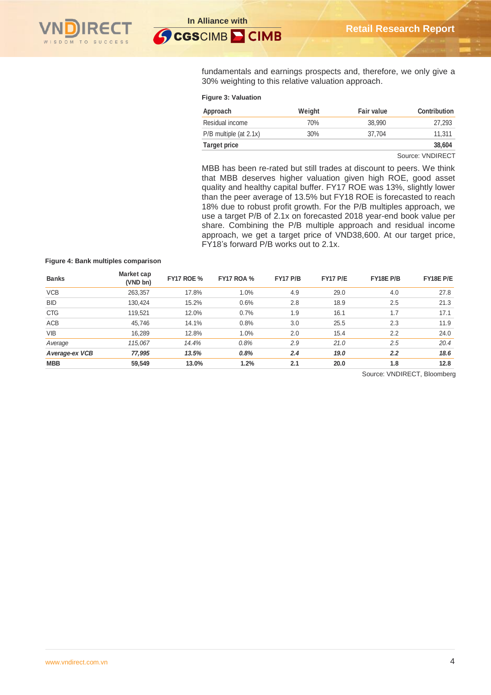

fundamentals and earnings prospects and, therefore, we only give a 30% weighting to this relative valuation approach.

#### **Figure 3: Valuation**

| Approach                 | Weight | <b>Fair value</b> | Contribution |
|--------------------------|--------|-------------------|--------------|
| Residual income          | 70%    | 38.990            | 27.293       |
| $P/B$ multiple (at 2.1x) | 30%    | 37.704            | 11.311       |
| Target price             |        |                   | 38,604       |

Source: VNDIRECT

MBB has been re-rated but still trades at discount to peers. We think that MBB deserves higher valuation given high ROE, good asset quality and healthy capital buffer. FY17 ROE was 13%, slightly lower than the peer average of 13.5% but FY18 ROE is forecasted to reach 18% due to robust profit growth. For the P/B multiples approach, we use a target P/B of 2.1x on forecasted 2018 year-end book value per share. Combining the P/B multiple approach and residual income approach, we get a target price of VND38,600. At our target price, FY18's forward P/B works out to 2.1x.

#### **Figure 4: Bank multiples comparison**

| <b>Banks</b>    | Market cap<br>(VND bn) | <b>FY17 ROE %</b> | <b>FY17 ROA %</b> | <b>FY17 P/B</b> | <b>FY17 P/E</b> | FY18E P/B        | FY18E P/E |
|-----------------|------------------------|-------------------|-------------------|-----------------|-----------------|------------------|-----------|
| <b>VCB</b>      | 263,357                | 17.8%             | 1.0%              | 4.9             | 29.0            | 4.0              | 27.8      |
| <b>BID</b>      | 130,424                | 15.2%             | 0.6%              | 2.8             | 18.9            | 2.5              | 21.3      |
| <b>CTG</b>      | 119,521                | 12.0%             | 0.7%              | 1.9             | 16.1            | 1.7              | 17.1      |
| <b>ACB</b>      | 45,746                 | 14.1%             | 0.8%              | 3.0             | 25.5            | 2.3              | 11.9      |
| <b>VIB</b>      | 16,289                 | 12.8%             | 1.0%              | 2.0             | 15.4            | 2.2              | 24.0      |
| Average         | 115,067                | 14.4%             | 0.8%              | 2.9             | 21.0            | 2.5              | 20.4      |
| A verage-ex VCB | 77,995                 | 13.5%             | 0.8%              | 2.4             | 19.0            | $2.2\phantom{0}$ | 18.6      |
| <b>MBB</b>      | 59,549                 | 13.0%             | 1.2%              | 2.1             | 20.0            | 1.8              | 12.8      |

Source: VNDIRECT, Bloomberg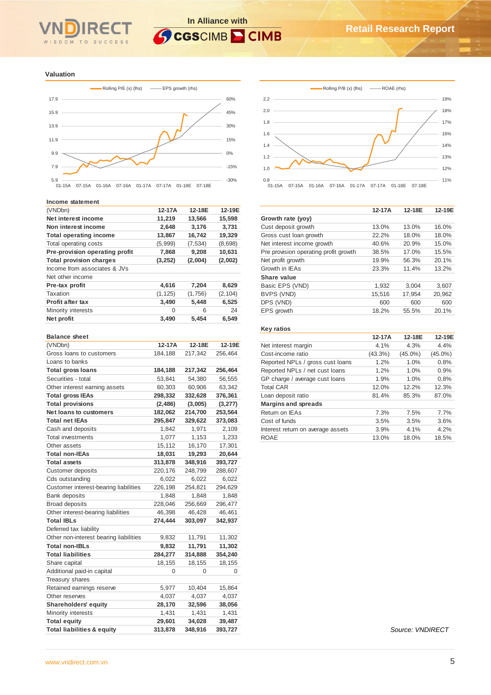# **In Alliance with GCGSCIMB CIMB**



**Valuation**



#### **Income statement**

| (VNDbn)                        | $12-17A$ | 12-18E  | 12-19E   |
|--------------------------------|----------|---------|----------|
| Net interest income            | 11,219   | 13,566  | 15,598   |
| Non interest income            | 2,648    | 3,176   | 3.731    |
| <b>Total operating income</b>  | 13,867   | 16,742  | 19,329   |
| Total operating costs          | (5,999)  | (7,534) | (8,698)  |
| Pre-provision operating profit | 7,868    | 9,208   | 10,631   |
| <b>Total provision charges</b> | (3, 252) | (2,004) | (2,002)  |
| Income from associates & JVs   |          |         |          |
| Net other income               |          |         |          |
| Pre-tax profit                 | 4,616    | 7,204   | 8,629    |
| Taxation                       | (1, 125) | (1,756) | (2, 104) |
| <b>Profit after tax</b>        | 3,490    | 5,448   | 6,525    |
| Minority interests             | $\Omega$ | 6       | 24       |
| Net profit                     | 3,490    | 5,454   | 6,549    |
|                                |          |         |          |

#### **Balance sheet**

| (VNDbn)                                | 12-17A   | 12-18E  | 12-19E  |
|----------------------------------------|----------|---------|---------|
| Gross loans to customers               | 184,188  | 217,342 | 256,464 |
| Loans to banks                         |          |         |         |
| <b>Total gross loans</b>               | 184,188  | 217,342 | 256,464 |
| Securities - total                     | 53,841   | 54,380  | 56,555  |
| Other interest earning assets          | 60,303   | 60,906  | 63,342  |
| <b>Total gross IEAs</b>                | 298,332  | 332,628 | 376,361 |
| <b>Total provisions</b>                | (2, 486) | (3,005) | (3,277) |
| Net loans to customers                 | 182,062  | 214,700 | 253,564 |
| <b>Total net IEAs</b>                  | 295,847  | 329,622 | 373,083 |
| Cash and deposits                      | 1,842    | 1,971   | 2,109   |
| <b>Total investments</b>               | 1,077    | 1,153   | 1,233   |
| Other assets                           | 15,112   | 16,170  | 17,301  |
| <b>Total non-IEAs</b>                  | 18,031   | 19,293  | 20,644  |
| <b>Total assets</b>                    | 313,878  | 348,916 | 393,727 |
| <b>Customer deposits</b>               | 220,176  | 248,799 | 288,607 |
| Cds outstanding                        | 6,022    | 6,022   | 6,022   |
| Customer interest-bearing liabilities  | 226,198  | 254,821 | 294,629 |
| <b>Bank deposits</b>                   | 1,848    | 1,848   | 1,848   |
| <b>Broad deposits</b>                  | 228,046  | 256,669 | 296,477 |
| Other interest-bearing liabilities     | 46,398   | 46,428  | 46,461  |
| <b>Total IBLs</b>                      | 274,444  | 303,097 | 342,937 |
| Deferred tax liability                 |          |         |         |
| Other non-interest bearing liabilities | 9,832    | 11,791  | 11,302  |
| <b>Total non-IBLs</b>                  | 9,832    | 11,791  | 11,302  |
| <b>Total liabilities</b>               | 284,277  | 314,888 | 354,240 |
| Share capital                          | 18,155   | 18,155  | 18,155  |
| Additional paid-in capital             | 0        | 0       | 0       |
| <b>Treasury shares</b>                 |          |         |         |
| Retained earnings reserve              | 5,977    | 10,404  | 15,864  |
| Other reserves                         | 4,037    | 4,037   | 4,037   |
| Shareholders' equity                   | 28,170   | 32,596  | 38,056  |
| Minority interests                     | 1,431    | 1,431   | 1,431   |
| <b>Total equity</b>                    | 29,601   | 34,028  | 39,487  |
| <b>Total liabilities &amp; equity</b>  | 313,878  | 348,916 | 393,727 |



|                                       | 12-17A | 12-18E | 12-19E |
|---------------------------------------|--------|--------|--------|
| Growth rate (yoy)                     |        |        |        |
| Cust deposit growth                   | 13.0%  | 13.0%  | 16.0%  |
| Gross cust loan growth                | 22.2%  | 18.0%  | 18.0%  |
| Net interest income growth            | 40.6%  | 20.9%  | 15.0%  |
| Pre provision operating profit growth | 38.5%  | 17.0%  | 15.5%  |
| Net profit growth                     | 19.9%  | 56.3%  | 20.1%  |
| Growth in IEAs                        | 23.3%  | 11.4%  | 13.2%  |
| Share value                           |        |        |        |
| Basic EPS (VND)                       | 1,932  | 3.004  | 3,607  |
| BVPS (VND)                            | 15,516 | 17,954 | 20,962 |
| DPS (VND)                             | 600    | 600    | 600    |
| EPS growth                            | 18.2%  | 55.5%  | 20.1%  |
|                                       |        |        |        |

## **Key ratios**

|                                   | 12-17A     | 12-18E     | 12-19E     |
|-----------------------------------|------------|------------|------------|
| Net interest margin               | 4.1%       | 4.3%       | 4.4%       |
| Cost-income ratio                 | $(43.3\%)$ | $(45.0\%)$ | $(45.0\%)$ |
| Reported NPLs / gross cust loans  | 1.2%       | 1.0%       | 0.8%       |
| Reported NPLs / net cust loans    | 1.2%       | 1.0%       | 0.9%       |
| GP charge / average cust loans    | 1.9%       | 1.0%       | 0.8%       |
| <b>Total CAR</b>                  | 12.0%      | 12.2%      | 12.3%      |
| Loan deposit ratio                | 81.4%      | 85.3%      | 87.0%      |
| <b>Margins and spreads</b>        |            |            |            |
| Return on IEAs                    | 7.3%       | 7.5%       | 7.7%       |
| Cost of funds                     | 3.5%       | 3.5%       | 3.6%       |
| Interest return on average assets | 3.9%       | 4.1%       | 4.2%       |
| ROAE                              | 13.0%      | 18.0%      | 18.5%      |

*Source: VNDIRECT*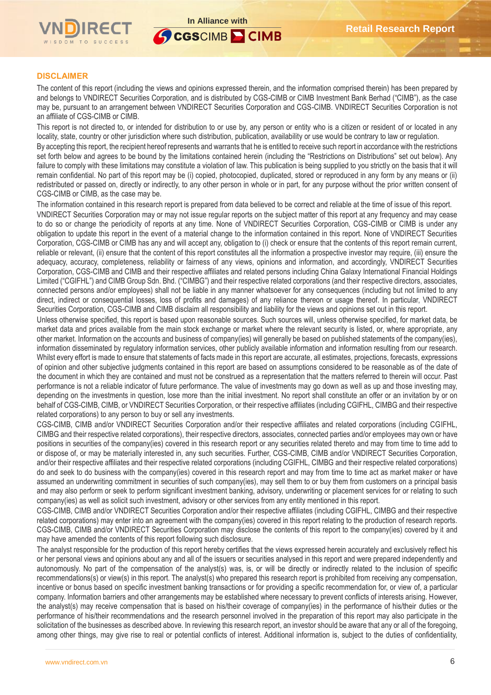

CGSCIMB CIMB

## **DISCLAIMER**

The content of this report (including the views and opinions expressed therein, and the information comprised therein) has been prepared by and belongs to VNDIRECT Securities Corporation, and is distributed by CGS-CIMB or CIMB Investment Bank Berhad ("CIMB"), as the case may be, pursuant to an arrangement between VNDIRECT Securities Corporation and CGS-CIMB. VNDIRECT Securities Corporation is not an affiliate of CGS-CIMB or CIMB.

This report is not directed to, or intended for distribution to or use by, any person or entity who is a citizen or resident of or located in any locality, state, country or other jurisdiction where such distribution, publication, availability or use would be contrary to law or regulation.

By accepting this report, the recipient hereof represents and warrants that he is entitled to receive such report in accordance with the restrictions set forth below and agrees to be bound by the limitations contained herein (including the "Restrictions on Distributions" set out below). Any failure to comply with these limitations may constitute a violation of law. This publication is being supplied to you strictly on the basis that it will remain confidential. No part of this report may be (i) copied, photocopied, duplicated, stored or reproduced in any form by any means or (ii) redistributed or passed on, directly or indirectly, to any other person in whole or in part, for any purpose without the prior written consent of CGS-CIMB or CIMB, as the case may be.

The information contained in this research report is prepared from data believed to be correct and reliable at the time of issue of this report. VNDIRECT Securities Corporation may or may not issue regular reports on the subject matter of this report at any frequency and may cease to do so or change the periodicity of reports at any time. None of VNDIRECT Securities Corporation, CGS-CIMB or CIMB is under any obligation to update this report in the event of a material change to the information contained in this report. None of VNDIRECT Securities Corporation, CGS-CIMB or CIMB has any and will accept any, obligation to (i) check or ensure that the contents of this report remain current, reliable or relevant, (ii) ensure that the content of this report constitutes all the information a prospective investor may require, (iii) ensure the adequacy, accuracy, completeness, reliability or fairness of any views, opinions and information, and accordingly, VNDIRECT Securities Corporation, CGS-CIMB and CIMB and their respective affiliates and related persons including China Galaxy International Financial Holdings Limited ("CGIFHL") and CIMB Group Sdn. Bhd. ("CIMBG") and their respective related corporations (and their respective directors, associates, connected persons and/or employees) shall not be liable in any manner whatsoever for any consequences (including but not limited to any direct, indirect or consequential losses, loss of profits and damages) of any reliance thereon or usage thereof. In particular, VNDIRECT Securities Corporation, CGS-CIMB and CIMB disclaim all responsibility and liability for the views and opinions set out in this report.

Unless otherwise specified, this report is based upon reasonable sources. Such sources will, unless otherwise specified, for market data, be market data and prices available from the main stock exchange or market where the relevant security is listed, or, where appropriate, any other market. Information on the accounts and business of company(ies) will generally be based on published statements of the company(ies), information disseminated by regulatory information services, other publicly available information and information resulting from our research. Whilst every effort is made to ensure that statements of facts made in this report are accurate, all estimates, projections, forecasts, expressions of opinion and other subjective judgments contained in this report are based on assumptions considered to be reasonable as of the date of the document in which they are contained and must not be construed as a representation that the matters referred to therein will occur. Past performance is not a reliable indicator of future performance. The value of investments may go down as well as up and those investing may, depending on the investments in question, lose more than the initial investment. No report shall constitute an offer or an invitation by or on behalf of CGS-CIMB, CIMB, or VNDIRECT Securities Corporation, or their respective affiliates (including CGIFHL, CIMBG and their respective related corporations) to any person to buy or sell any investments.

CGS-CIMB, CIMB and/or VNDIRECT Securities Corporation and/or their respective affiliates and related corporations (including CGIFHL, CIMBG and their respective related corporations), their respective directors, associates, connected parties and/or employees may own or have positions in securities of the company(ies) covered in this research report or any securities related thereto and may from time to time add to or dispose of, or may be materially interested in, any such securities. Further, CGS-CIMB, CIMB and/or VNDIRECT Securities Corporation, and/or their respective affiliates and their respective related corporations (including CGIFHL, CIMBG and their respective related corporations) do and seek to do business with the company(ies) covered in this research report and may from time to time act as market maker or have assumed an underwriting commitment in securities of such company(ies), may sell them to or buy them from customers on a principal basis and may also perform or seek to perform significant investment banking, advisory, underwriting or placement services for or relating to such company(ies) as well as solicit such investment, advisory or other services from any entity mentioned in this report.

CGS-CIMB, CIMB and/or VNDIRECT Securities Corporation and/or their respective affiliates (including CGIFHL, CIMBG and their respective related corporations) may enter into an agreement with the company(ies) covered in this report relating to the production of research reports. CGS-CIMB, CIMB and/or VNDIRECT Securities Corporation may disclose the contents of this report to the company(ies) covered by it and may have amended the contents of this report following such disclosure.

The analyst responsible for the production of this report hereby certifies that the views expressed herein accurately and exclusively reflect his or her personal views and opinions about any and all of the issuers or securities analysed in this report and were prepared independently and autonomously. No part of the compensation of the analyst(s) was, is, or will be directly or indirectly related to the inclusion of specific recommendations(s) or view(s) in this report. The analyst(s) who prepared this research report is prohibited from receiving any compensation, incentive or bonus based on specific investment banking transactions or for providing a specific recommendation for, or view of, a particular company. Information barriers and other arrangements may be established where necessary to prevent conflicts of interests arising. However, the analyst(s) may receive compensation that is based on his/their coverage of company(ies) in the performance of his/their duties or the performance of his/their recommendations and the research personnel involved in the preparation of this report may also participate in the solicitation of the businesses as described above. In reviewing this research report, an investor should be aware that any or all of the foregoing, among other things, may give rise to real or potential conflicts of interest. Additional information is, subject to the duties of confidentiality,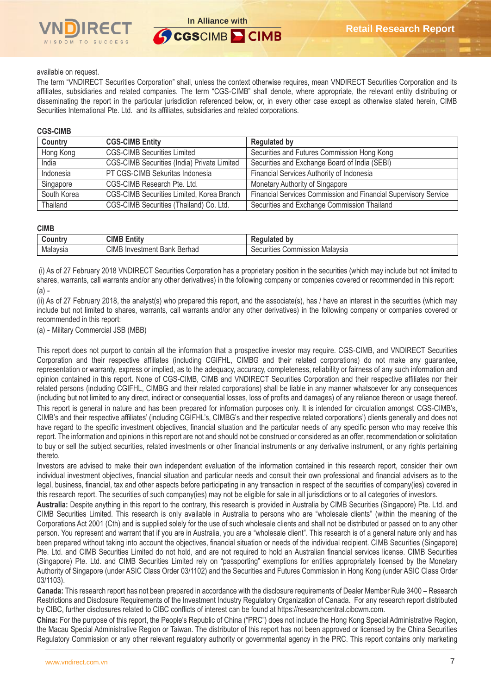

## available on request.

The term "VNDIRECT Securities Corporation" shall, unless the context otherwise requires, mean VNDIRECT Securities Corporation and its affiliates, subsidiaries and related companies. The term "CGS-CIMB" shall denote, where appropriate, the relevant entity distributing or disseminating the report in the particular jurisdiction referenced below, or, in every other case except as otherwise stated herein, CIMB Securities International Pte. Ltd. and its affiliates, subsidiaries and related corporations.

## **CGS-CIMB**

| Country     | <b>CGS-CIMB Entity</b>                             | <b>Regulated by</b>                                             |
|-------------|----------------------------------------------------|-----------------------------------------------------------------|
| Hong Kong   | <b>CGS-CIMB Securities Limited</b>                 | Securities and Futures Commission Hong Kong                     |
| India       | <b>CGS-CIMB Securities (India) Private Limited</b> | Securities and Exchange Board of India (SEBI)                   |
| Indonesia   | PT CGS-CIMB Sekuritas Indonesia                    | Financial Services Authority of Indonesia                       |
| Singapore   | CGS-CIMB Research Pte. Ltd.                        | Monetary Authority of Singapore                                 |
| South Korea | CGS-CIMB Securities Limited, Korea Branch          | Financial Services Commission and Financial Supervisory Service |
| Thailand    | CGS-CIMB Securities (Thailand) Co. Ltd.            | Securities and Exchange Commission Thailand                     |

#### **CIMB**

| Jountr∵  | CIMB<br>$\overline{1}$<br>ntit    | b٧<br>----<br>. .                      |
|----------|-----------------------------------|----------------------------------------|
| Malaysia | CIMB<br>Berhad<br>Investment Bank | Commission "<br>Malavsia<br>Securities |

(i) As of 27 February 2018 VNDIRECT Securities Corporation has a proprietary position in the securities (which may include but not limited to shares, warrants, call warrants and/or any other derivatives) in the following company or companies covered or recommended in this report: (a) -

(ii) As of 27 February 2018, the analyst(s) who prepared this report, and the associate(s), has / have an interest in the securities (which may include but not limited to shares, warrants, call warrants and/or any other derivatives) in the following company or companies covered or recommended in this report:

(a) - Military Commercial JSB (MBB)

This report does not purport to contain all the information that a prospective investor may require. CGS-CIMB, and VNDIRECT Securities Corporation and their respective affiliates (including CGIFHL, CIMBG and their related corporations) do not make any guarantee, representation or warranty, express or implied, as to the adequacy, accuracy, completeness, reliability or fairness of any such information and opinion contained in this report. None of CGS-CIMB, CIMB and VNDIRECT Securities Corporation and their respective affiliates nor their related persons (including CGIFHL, CIMBG and their related corporations) shall be liable in any manner whatsoever for any consequences (including but not limited to any direct, indirect or consequential losses, loss of profits and damages) of any reliance thereon or usage thereof. This report is general in nature and has been prepared for information purposes only. It is intended for circulation amongst CGS-CIMB's, CIMB's and their respective affiliates' (including CGIFHL's, CIMBG's and their respective related corporations') clients generally and does not have regard to the specific investment objectives, financial situation and the particular needs of any specific person who may receive this report. The information and opinions in this report are not and should not be construed or considered as an offer, recommendation or solicitation to buy or sell the subject securities, related investments or other financial instruments or any derivative instrument, or any rights pertaining thereto.

Investors are advised to make their own independent evaluation of the information contained in this research report, consider their own individual investment objectives, financial situation and particular needs and consult their own professional and financial advisers as to the legal, business, financial, tax and other aspects before participating in any transaction in respect of the securities of company(ies) covered in this research report. The securities of such company(ies) may not be eligible for sale in all jurisdictions or to all categories of investors.

**Australia:** Despite anything in this report to the contrary, this research is provided in Australia by CIMB Securities (Singapore) Pte. Ltd. and CIMB Securities Limited. This research is only available in Australia to persons who are "wholesale clients" (within the meaning of the Corporations Act 2001 (Cth) and is supplied solely for the use of such wholesale clients and shall not be distributed or passed on to any other person. You represent and warrant that if you are in Australia, you are a "wholesale client". This research is of a general nature only and has been prepared without taking into account the objectives, financial situation or needs of the individual recipient. CIMB Securities (Singapore) Pte. Ltd. and CIMB Securities Limited do not hold, and are not required to hold an Australian financial services license. CIMB Securities (Singapore) Pte. Ltd. and CIMB Securities Limited rely on "passporting" exemptions for entities appropriately licensed by the Monetary Authority of Singapore (under ASIC Class Order 03/1102) and the Securities and Futures Commission in Hong Kong (under ASIC Class Order 03/1103).

**Canada:** This research report has not been prepared in accordance with the disclosure requirements of Dealer Member Rule 3400 – Research Restrictions and Disclosure Requirements of the Investment Industry Regulatory Organization of Canada. For any research report distributed by CIBC, further disclosures related to CIBC conflicts of interest can be found at https://researchcentral.cibcwm.com.

**China:** For the purpose of this report, the People's Republic of China ("PRC") does not include the Hong Kong Special Administrative Region, the Macau Special Administrative Region or Taiwan. The distributor of this report has not been approved or licensed by the China Securities Regulatory Commission or any other relevant regulatory authority or governmental agency in the PRC. This report contains only marketing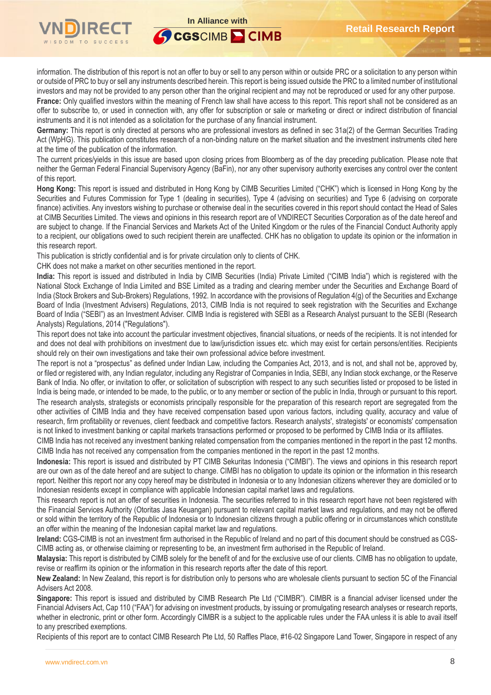

information. The distribution of this report is not an offer to buy or sell to any person within or outside PRC or a solicitation to any person within or outside of PRC to buy or sell any instruments described herein. This report is being issued outside the PRC to a limited number of institutional investors and may not be provided to any person other than the original recipient and may not be reproduced or used for any other purpose.

France: Only qualified investors within the meaning of French law shall have access to this report. This report shall not be considered as an offer to subscribe to, or used in connection with, any offer for subscription or sale or marketing or direct or indirect distribution of financial instruments and it is not intended as a solicitation for the purchase of any financial instrument.

**Germany:** This report is only directed at persons who are professional investors as defined in sec 31a(2) of the German Securities Trading Act (WpHG). This publication constitutes research of a non-binding nature on the market situation and the investment instruments cited here at the time of the publication of the information.

The current prices/yields in this issue are based upon closing prices from Bloomberg as of the day preceding publication. Please note that neither the German Federal Financial Supervisory Agency (BaFin), nor any other supervisory authority exercises any control over the content of this report.

**Hong Kong:** This report is issued and distributed in Hong Kong by CIMB Securities Limited ("CHK") which is licensed in Hong Kong by the Securities and Futures Commission for Type 1 (dealing in securities), Type 4 (advising on securities) and Type 6 (advising on corporate finance) activities. Any investors wishing to purchase or otherwise deal in the securities covered in this report should contact the Head of Sales at CIMB Securities Limited. The views and opinions in this research report are of VNDIRECT Securities Corporation as of the date hereof and are subject to change. If the Financial Services and Markets Act of the United Kingdom or the rules of the Financial Conduct Authority apply to a recipient, our obligations owed to such recipient therein are unaffected. CHK has no obligation to update its opinion or the information in this research report.

This publication is strictly confidential and is for private circulation only to clients of CHK.

CHK does not make a market on other securities mentioned in the report.

**India:** This report is issued and distributed in India by CIMB Securities (India) Private Limited ("CIMB India") which is registered with the National Stock Exchange of India Limited and BSE Limited as a trading and clearing member under the Securities and Exchange Board of India (Stock Brokers and Sub-Brokers) Regulations, 1992. In accordance with the provisions of Regulation 4(g) of the Securities and Exchange Board of India (Investment Advisers) Regulations, 2013, CIMB India is not required to seek registration with the Securities and Exchange Board of India ("SEBI") as an Investment Adviser. CIMB India is registered with SEBI as a Research Analyst pursuant to the SEBI (Research Analysts) Regulations, 2014 ("Regulations").

This report does not take into account the particular investment objectives, financial situations, or needs of the recipients. It is not intended for and does not deal with prohibitions on investment due to law/jurisdiction issues etc. which may exist for certain persons/entities. Recipients should rely on their own investigations and take their own professional advice before investment.

The report is not a "prospectus" as defined under Indian Law, including the Companies Act, 2013, and is not, and shall not be, approved by, or filed or registered with, any Indian regulator, including any Registrar of Companies in India, SEBI, any Indian stock exchange, or the Reserve Bank of India. No offer, or invitation to offer, or solicitation of subscription with respect to any such securities listed or proposed to be listed in India is being made, or intended to be made, to the public, or to any member or section of the public in India, through or pursuant to this report. The research analysts, strategists or economists principally responsible for the preparation of this research report are segregated from the other activities of CIMB India and they have received compensation based upon various factors, including quality, accuracy and value of research, firm profitability or revenues, client feedback and competitive factors. Research analysts', strategists' or economists' compensation is not linked to investment banking or capital markets transactions performed or proposed to be performed by CIMB India or its affiliates.

CIMB India has not received any investment banking related compensation from the companies mentioned in the report in the past 12 months. CIMB India has not received any compensation from the companies mentioned in the report in the past 12 months.

**Indonesia:** This report is issued and distributed by PT CIMB Sekuritas Indonesia ("CIMBI"). The views and opinions in this research report are our own as of the date hereof and are subject to change. CIMBI has no obligation to update its opinion or the information in this research report. Neither this report nor any copy hereof may be distributed in Indonesia or to any Indonesian citizens wherever they are domiciled or to Indonesian residents except in compliance with applicable Indonesian capital market laws and regulations.

This research report is not an offer of securities in Indonesia. The securities referred to in this research report have not been registered with the Financial Services Authority (Otoritas Jasa Keuangan) pursuant to relevant capital market laws and regulations, and may not be offered or sold within the territory of the Republic of Indonesia or to Indonesian citizens through a public offering or in circumstances which constitute an offer within the meaning of the Indonesian capital market law and regulations.

**Ireland:** CGS-CIMB is not an investment firm authorised in the Republic of Ireland and no part of this document should be construed as CGS-CIMB acting as, or otherwise claiming or representing to be, an investment firm authorised in the Republic of Ireland.

**Malaysia:** This report is distributed by CIMB solely for the benefit of and for the exclusive use of our clients. CIMB has no obligation to update, revise or reaffirm its opinion or the information in this research reports after the date of this report.

**New Zealand:** In New Zealand, this report is for distribution only to persons who are wholesale clients pursuant to section 5C of the Financial Advisers Act 2008.

**Singapore:** This report is issued and distributed by CIMB Research Pte Ltd ("CIMBR"). CIMBR is a financial adviser licensed under the Financial Advisers Act, Cap 110 ("FAA") for advising on investment products, by issuing or promulgating research analyses or research reports, whether in electronic, print or other form. Accordingly CIMBR is a subject to the applicable rules under the FAA unless it is able to avail itself to any prescribed exemptions.

Recipients of this report are to contact CIMB Research Pte Ltd, 50 Raffles Place, #16-02 Singapore Land Tower, Singapore in respect of any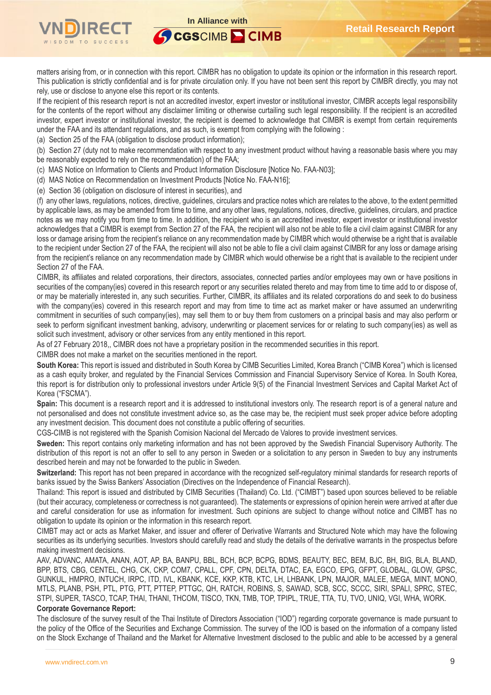

matters arising from, or in connection with this report. CIMBR has no obligation to update its opinion or the information in this research report. This publication is strictly confidential and is for private circulation only. If you have not been sent this report by CIMBR directly, you may not rely, use or disclose to anyone else this report or its contents.

If the recipient of this research report is not an accredited investor, expert investor or institutional investor, CIMBR accepts legal responsibility for the contents of the report without any disclaimer limiting or otherwise curtailing such legal responsibility. If the recipient is an accredited investor, expert investor or institutional investor, the recipient is deemed to acknowledge that CIMBR is exempt from certain requirements under the FAA and its attendant regulations, and as such, is exempt from complying with the following :

(a) Section 25 of the FAA (obligation to disclose product information);

(b) Section 27 (duty not to make recommendation with respect to any investment product without having a reasonable basis where you may be reasonably expected to rely on the recommendation) of the FAA;

(c) MAS Notice on Information to Clients and Product Information Disclosure [Notice No. FAA-N03];

(d) MAS Notice on Recommendation on Investment Products [Notice No. FAA-N16];

(e) Section 36 (obligation on disclosure of interest in securities), and

(f) any other laws, regulations, notices, directive, guidelines, circulars and practice notes which are relates to the above, to the extent permitted by applicable laws, as may be amended from time to time, and any other laws, regulations, notices, directive, guidelines, circulars, and practice notes as we may notify you from time to time. In addition, the recipient who is an accredited investor, expert investor or institutional investor acknowledges that a CIMBR is exempt from Section 27 of the FAA, the recipient will also not be able to file a civil claim against CIMBR for any loss or damage arising from the recipient's reliance on any recommendation made by CIMBR which would otherwise be a right that is available to the recipient under Section 27 of the FAA, the recipient will also not be able to file a civil claim against CIMBR for any loss or damage arising from the recipient's reliance on any recommendation made by CIMBR which would otherwise be a right that is available to the recipient under Section 27 of the FAA.

CIMBR, its affiliates and related corporations, their directors, associates, connected parties and/or employees may own or have positions in securities of the company(ies) covered in this research report or any securities related thereto and may from time to time add to or dispose of, or may be materially interested in, any such securities. Further, CIMBR, its affiliates and its related corporations do and seek to do business with the company(ies) covered in this research report and may from time to time act as market maker or have assumed an underwriting commitment in securities of such company(ies), may sell them to or buy them from customers on a principal basis and may also perform or seek to perform significant investment banking, advisory, underwriting or placement services for or relating to such company(ies) as well as solicit such investment, advisory or other services from any entity mentioned in this report.

As of 27 February 2018,, CIMBR does not have a proprietary position in the recommended securities in this report.

CIMBR does not make a market on the securities mentioned in the report.

**South Korea:** This report is issued and distributed in South Korea by CIMB Securities Limited, Korea Branch ("CIMB Korea") which is licensed as a cash equity broker, and regulated by the Financial Services Commission and Financial Supervisory Service of Korea. In South Korea, this report is for distribution only to professional investors under Article 9(5) of the Financial Investment Services and Capital Market Act of Korea ("FSCMA").

**Spain:** This document is a research report and it is addressed to institutional investors only. The research report is of a general nature and not personalised and does not constitute investment advice so, as the case may be, the recipient must seek proper advice before adopting any investment decision. This document does not constitute a public offering of securities.

CGS-CIMB is not registered with the Spanish Comision Nacional del Mercado de Valores to provide investment services.

**Sweden:** This report contains only marketing information and has not been approved by the Swedish Financial Supervisory Authority. The distribution of this report is not an offer to sell to any person in Sweden or a solicitation to any person in Sweden to buy any instruments described herein and may not be forwarded to the public in Sweden.

**Switzerland:** This report has not been prepared in accordance with the recognized self-regulatory minimal standards for research reports of banks issued by the Swiss Bankers' Association (Directives on the Independence of Financial Research).

Thailand: This report is issued and distributed by CIMB Securities (Thailand) Co. Ltd. ("CIMBT") based upon sources believed to be reliable (but their accuracy, completeness or correctness is not guaranteed). The statements or expressions of opinion herein were arrived at after due and careful consideration for use as information for investment. Such opinions are subject to change without notice and CIMBT has no obligation to update its opinion or the information in this research report.

CIMBT may act or acts as Market Maker, and issuer and offerer of Derivative Warrants and Structured Note which may have the following securities as its underlying securities. Investors should carefully read and study the details of the derivative warrants in the prospectus before making investment decisions.

AAV, ADVANC, AMATA, ANAN, AOT, AP, BA, BANPU, BBL, BCH, BCP, BCPG, BDMS, BEAUTY, BEC, BEM, BJC, BH, BIG, BLA, BLAND, BPP, BTS, CBG, CENTEL, CHG, CK, CKP, COM7, CPALL, CPF, CPN, DELTA, DTAC, EA, EGCO, EPG, GFPT, GLOBAL, GLOW, GPSC, GUNKUL, HMPRO, INTUCH, IRPC, ITD, IVL, KBANK, KCE, KKP, KTB, KTC, LH, LHBANK, LPN, MAJOR, MALEE, MEGA, MINT, MONO, MTLS, PLANB, PSH, PTL, PTG, PTT, PTTEP, PTTGC, QH, RATCH, ROBINS, S, SAWAD, SCB, SCC, SCCC, SIRI, SPALI, SPRC, STEC, STPI, SUPER, TASCO, TCAP, THAI, THANI, THCOM, TISCO, TKN, TMB, TOP, TPIPL, TRUE, TTA, TU, TVO, UNIQ, VGI, WHA, WORK.

## **Corporate Governance Report:**

The disclosure of the survey result of the Thai Institute of Directors Association ("IOD") regarding corporate governance is made pursuant to the policy of the Office of the Securities and Exchange Commission. The survey of the IOD is based on the information of a company listed on the Stock Exchange of Thailand and the Market for Alternative Investment disclosed to the public and able to be accessed by a general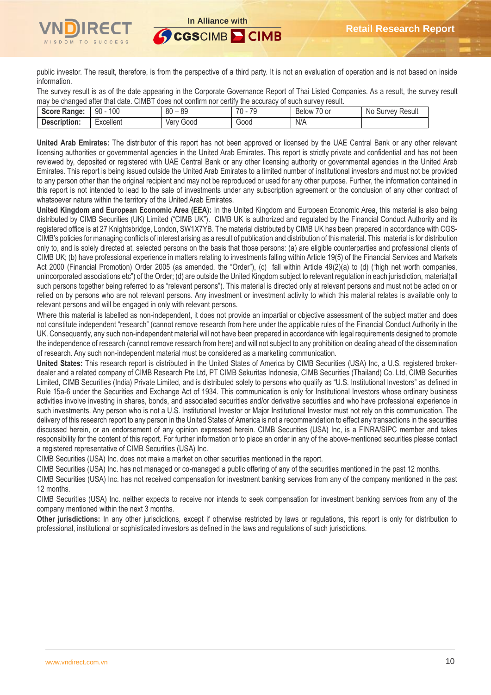public investor. The result, therefore, is from the perspective of a third party. It is not an evaluation of operation and is not based on inside information.

The survey result is as of the date appearing in the Corporate Governance Report of Thai Listed Companies. As a result, the survey result may be changed after that date. CIMBT does not confirm nor certify the accuracy of such survey result.

| Score Rai<br>Range: | 100<br>90 | 0C<br>$\circ$<br>ou<br>೦೮ | $70 -$<br>7 <sup>c</sup><br>л. | $\sim$ $\sim$<br>. U or<br>Relow | Survey Result<br>N0 |
|---------------------|-----------|---------------------------|--------------------------------|----------------------------------|---------------------|
| Description:        | Excellent | Good<br>Verv              | Good                           | N/A                              |                     |

**United Arab Emirates:** The distributor of this report has not been approved or licensed by the UAE Central Bank or any other relevant licensing authorities or governmental agencies in the United Arab Emirates. This report is strictly private and confidential and has not been reviewed by, deposited or registered with UAE Central Bank or any other licensing authority or governmental agencies in the United Arab Emirates. This report is being issued outside the United Arab Emirates to a limited number of institutional investors and must not be provided to any person other than the original recipient and may not be reproduced or used for any other purpose. Further, the information contained in this report is not intended to lead to the sale of investments under any subscription agreement or the conclusion of any other contract of whatsoever nature within the territory of the United Arab Emirates.

**United Kingdom and European Economic Area (EEA):** In the United Kingdom and European Economic Area, this material is also being distributed by CIMB Securities (UK) Limited ("CIMB UK"). CIMB UK is authorized and regulated by the Financial Conduct Authority and its registered office is at 27 Knightsbridge, London, SW1X7YB. The material distributed by CIMB UK has been prepared in accordance with CGS-CIMB's policies for managing conflicts of interest arising as a result of publication and distribution of this material. This material is for distribution only to, and is solely directed at, selected persons on the basis that those persons: (a) are eligible counterparties and professional clients of CIMB UK; (b) have professional experience in matters relating to investments falling within Article 19(5) of the Financial Services and Markets Act 2000 (Financial Promotion) Order 2005 (as amended, the "Order"), (c) fall within Article 49(2)(a) to (d) ("high net worth companies, unincorporated associations etc") of the Order; (d) are outside the United Kingdom subject to relevant regulation in each jurisdiction, material(all such persons together being referred to as "relevant persons"). This material is directed only at relevant persons and must not be acted on or relied on by persons who are not relevant persons. Any investment or investment activity to which this material relates is available only to relevant persons and will be engaged in only with relevant persons.

Where this material is labelled as non-independent, it does not provide an impartial or objective assessment of the subject matter and does not constitute independent "research" (cannot remove research from here under the applicable rules of the Financial Conduct Authority in the UK. Consequently, any such non-independent material will not have been prepared in accordance with legal requirements designed to promote the independence of research (cannot remove research from here) and will not subject to any prohibition on dealing ahead of the dissemination of research. Any such non-independent material must be considered as a marketing communication.

**United States:** This research report is distributed in the United States of America by CIMB Securities (USA) Inc, a U.S. registered brokerdealer and a related company of CIMB Research Pte Ltd, PT CIMB Sekuritas Indonesia, CIMB Securities (Thailand) Co. Ltd, CIMB Securities Limited, CIMB Securities (India) Private Limited, and is distributed solely to persons who qualify as "U.S. Institutional Investors" as defined in Rule 15a-6 under the Securities and Exchange Act of 1934. This communication is only for Institutional Investors whose ordinary business activities involve investing in shares, bonds, and associated securities and/or derivative securities and who have professional experience in such investments. Any person who is not a U.S. Institutional Investor or Major Institutional Investor must not rely on this communication. The delivery of this research report to any person in the United States of America is not a recommendation to effect any transactions in the securities discussed herein, or an endorsement of any opinion expressed herein. CIMB Securities (USA) Inc, is a FINRA/SIPC member and takes responsibility for the content of this report. For further information or to place an order in any of the above-mentioned securities please contact a registered representative of CIMB Securities (USA) Inc.

CIMB Securities (USA) Inc. does not make a market on other securities mentioned in the report.

CIMB Securities (USA) Inc. has not managed or co-managed a public offering of any of the securities mentioned in the past 12 months.

CIMB Securities (USA) Inc. has not received compensation for investment banking services from any of the company mentioned in the past 12 months.

CIMB Securities (USA) Inc. neither expects to receive nor intends to seek compensation for investment banking services from any of the company mentioned within the next 3 months.

**Other jurisdictions:** In any other jurisdictions, except if otherwise restricted by laws or regulations, this report is only for distribution to professional, institutional or sophisticated investors as defined in the laws and regulations of such jurisdictions.